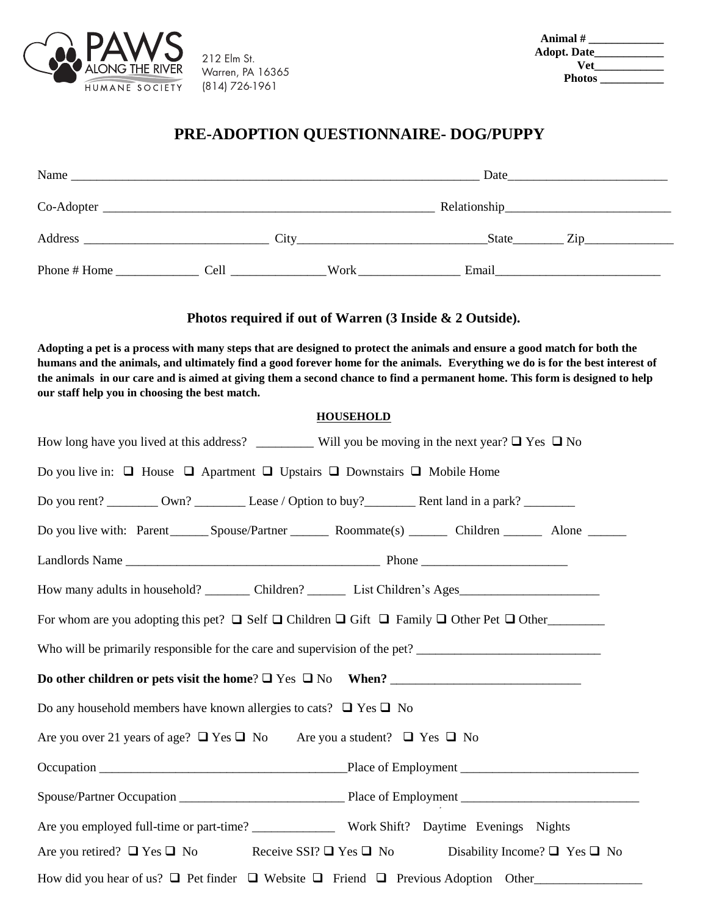

212 Elm St. (814) 726-1961 Warren, PA 16365

| Animal #      |  |
|---------------|--|
| Adopt. Date__ |  |
| Vet           |  |
| <b>Photos</b> |  |

## **PRE-ADOPTION QUESTIONNAIRE-DOG/PUPPY**

| Name          | <u> 1989 - John Stein, Amerikaansk politiker († 1989)</u> | Date |       |           |
|---------------|-----------------------------------------------------------|------|-------|-----------|
|               |                                                           |      |       |           |
| Address       | City                                                      |      | State | $\chi$ ip |
| Phone # Home. | Cell                                                      | Work | Email |           |

## **Photos required if out of Warren (3 Inside & 2 Outside).**

**Adopting a pet is a process with many steps that are designed to protect the animals and ensure a good match for both the humans and the animals, and ultimately find a good forever home for the animals. Everything we do is for the best interest of the animals in our care and is aimed at giving them a second chance to find a permanent home. This form is designed to help our staff help you in choosing the best match.**

## **HOUSEHOLD**

| How long have you lived at this address? ___________ Will you be moving in the next year? $\Box$ Yes $\Box$ No          |  |  |  |  |  |
|-------------------------------------------------------------------------------------------------------------------------|--|--|--|--|--|
| Do you live in: $\Box$ House $\Box$ Apartment $\Box$ Upstairs $\Box$ Downstairs $\Box$ Mobile Home                      |  |  |  |  |  |
| Do you rent? __________ Own? _______________ Lease / Option to buy? _____________ Rent land in a park? _________        |  |  |  |  |  |
| Do you live with: Parent ________ Spouse/Partner __________ Roommate(s) _________ Children _________ Alone _______      |  |  |  |  |  |
|                                                                                                                         |  |  |  |  |  |
| How many adults in household? __________ Children? ____________ List Children's Ages__________________________          |  |  |  |  |  |
| For whom are you adopting this pet? $\Box$ Self $\Box$ Children $\Box$ Gift $\Box$ Family $\Box$ Other Pet $\Box$ Other |  |  |  |  |  |
|                                                                                                                         |  |  |  |  |  |
|                                                                                                                         |  |  |  |  |  |
| Do any household members have known allergies to cats? $\Box$ Yes $\Box$ No                                             |  |  |  |  |  |
| Are you over 21 years of age? $\Box$ Yes $\Box$ No Are you a student? $\Box$ Yes $\Box$ No                              |  |  |  |  |  |
|                                                                                                                         |  |  |  |  |  |
|                                                                                                                         |  |  |  |  |  |
|                                                                                                                         |  |  |  |  |  |
| Are you retired? $\Box$ Yes $\Box$ No Receive SSI? $\Box$ Yes $\Box$ No Disability Income? $\Box$ Yes $\Box$ No         |  |  |  |  |  |
| How did you hear of us? $\Box$ Pet finder $\Box$ Website $\Box$ Friend $\Box$ Previous Adoption Other                   |  |  |  |  |  |